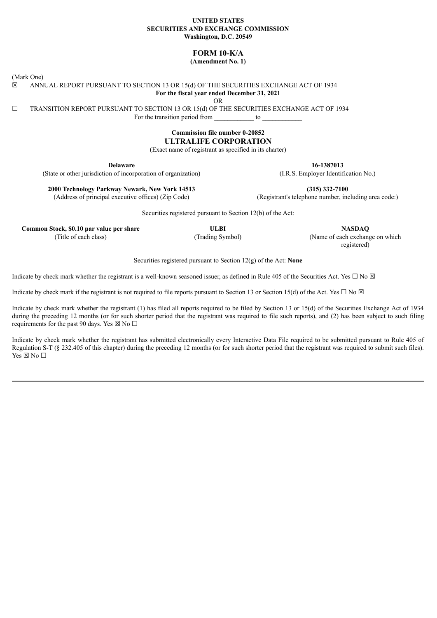#### **UNITED STATES SECURITIES AND EXCHANGE COMMISSION Washington, D.C. 20549**

# **FORM 10-K/A**

**(Amendment No. 1)**

(Mark One)

☒ ANNUAL REPORT PURSUANT TO SECTION 13 OR 15(d) OF THE SECURITIES EXCHANGE ACT OF 1934 **For the fiscal year ended December 31, 2021**

OR

☐ TRANSITION REPORT PURSUANT TO SECTION 13 OR 15(d) OF THE SECURITIES EXCHANGE ACT OF 1934 For the transition period from to  $\sim$ 

## **Commission file number 0-20852 ULTRALIFE CORPORATION**

(Exact name of registrant as specified in its charter)

**Delaware**

(State or other jurisdiction of incorporation of organization)

**2000 Technology Parkway Newark, New York 14513**

(Address of principal executive offices) (Zip Code)

Securities registered pursuant to Section 12(b) of the Act:

**Common Stock, \$0.10 par value per share ULBI NASDAQ**

(Title of each class) (Trading Symbol) (Name of each exchange on which registered)

Securities registered pursuant to Section 12(g) of the Act: **None**

Indicate by check mark whether the registrant is a well-known seasoned issuer, as defined in Rule 405 of the Securities Act. Yes  $\Box$  No  $\boxtimes$ 

Indicate by check mark if the registrant is not required to file reports pursuant to Section 13 or Section 15(d) of the Act. Yes  $\Box$  No  $\boxtimes$ 

Indicate by check mark whether the registrant (1) has filed all reports required to be filed by Section 13 or 15(d) of the Securities Exchange Act of 1934 during the preceding 12 months (or for such shorter period that the registrant was required to file such reports), and (2) has been subject to such filing requirements for the past 90 days. Yes  $\boxtimes$  No  $\Box$ 

Indicate by check mark whether the registrant has submitted electronically every Interactive Data File required to be submitted pursuant to Rule 405 of Regulation S-T (§ 232.405 of this chapter) during the preceding 12 months (or for such shorter period that the registrant was required to submit such files).  $Yes \boxtimes No \square$ 

(I.R.S. Employer Identification No.)

(Registrant's telephone number, including area code:)

**16-1387013**

**(315) 332-7100**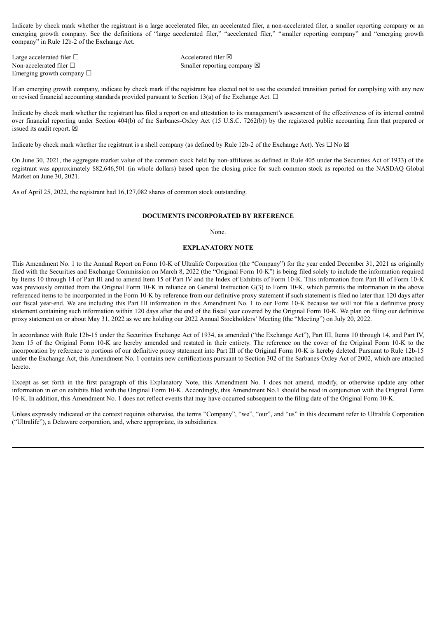Indicate by check mark whether the registrant is a large accelerated filer, an accelerated filer, a non-accelerated filer, a smaller reporting company or an emerging growth company. See the definitions of "large accelerated filer," "accelerated filer," "smaller reporting company" and "emerging growth company" in Rule 12b-2 of the Exchange Act.

Large accelerated filer □ accelerated filer □ Emerging growth company □

Non-accelerated filer □ Smaller reporting company ⊠

If an emerging growth company, indicate by check mark if the registrant has elected not to use the extended transition period for complying with any new or revised financial accounting standards provided pursuant to Section 13(a) of the Exchange Act.  $\Box$ 

Indicate by check mark whether the registrant has filed a report on and attestation to its management's assessment of the effectiveness of its internal control over financial reporting under Section 404(b) of the Sarbanes-Oxley Act (15 U.S.C. 7262(b)) by the registered public accounting firm that prepared or issued its audit report.  $\boxtimes$ 

Indicate by check mark whether the registrant is a shell company (as defined by Rule 12b-2 of the Exchange Act). Yes  $\Box$  No  $\boxtimes$ 

On June 30, 2021, the aggregate market value of the common stock held by non-affiliates as defined in Rule 405 under the Securities Act of 1933) of the registrant was approximately \$82,646,501 (in whole dollars) based upon the closing price for such common stock as reported on the NASDAQ Global Market on June 30, 2021.

As of April 25, 2022, the registrant had 16,127,082 shares of common stock outstanding.

#### **DOCUMENTS INCORPORATED BY REFERENCE**

None.

#### **EXPLANATORY NOTE**

This Amendment No. 1 to the Annual Report on Form 10-K of Ultralife Corporation (the "Company") for the year ended December 31, 2021 as originally filed with the Securities and Exchange Commission on March 8, 2022 (the "Original Form 10-K") is being filed solely to include the information required by Items 10 through 14 of Part III and to amend Item 15 of Part IV and the Index of Exhibits of Form 10-K. This information from Part III of Form 10-K was previously omitted from the Original Form 10-K in reliance on General Instruction G(3) to Form 10-K, which permits the information in the above referenced items to be incorporated in the Form 10-K by reference from our definitive proxy statement if such statement is filed no later than 120 days after our fiscal year-end. We are including this Part III information in this Amendment No. 1 to our Form 10-K because we will not file a definitive proxy statement containing such information within 120 days after the end of the fiscal year covered by the Original Form 10-K. We plan on filing our definitive proxy statement on or about May 31, 2022 as we are holding our 2022 Annual Stockholders' Meeting (the "Meeting") on July 20, 2022.

In accordance with Rule 12b-15 under the Securities Exchange Act of 1934, as amended ("the Exchange Act"), Part III, Items 10 through 14, and Part IV, Item 15 of the Original Form 10-K are hereby amended and restated in their entirety. The reference on the cover of the Original Form 10-K to the incorporation by reference to portions of our definitive proxy statement into Part III of the Original Form 10-K is hereby deleted. Pursuant to Rule 12b-15 under the Exchange Act, this Amendment No. 1 contains new certifications pursuant to Section 302 of the Sarbanes-Oxley Act of 2002, which are attached hereto.

Except as set forth in the first paragraph of this Explanatory Note, this Amendment No. 1 does not amend, modify, or otherwise update any other information in or on exhibits filed with the Original Form 10-K. Accordingly, this Amendment No.1 should be read in conjunction with the Original Form 10-K. In addition, this Amendment No. 1 does not reflect events that may have occurred subsequent to the filing date of the Original Form 10-K.

Unless expressly indicated or the context requires otherwise, the terms "Company", "we", "our", and "us" in this document refer to Ultralife Corporation ("Ultralife"), a Delaware corporation, and, where appropriate, its subsidiaries.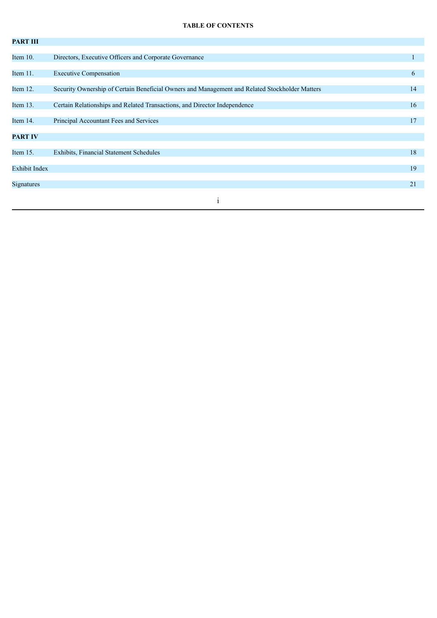## **TABLE OF CONTENTS**

| <b>PART III</b> |                                                                                                |    |
|-----------------|------------------------------------------------------------------------------------------------|----|
|                 |                                                                                                |    |
| Item 10.        | Directors, Executive Officers and Corporate Governance                                         |    |
|                 |                                                                                                |    |
| Item 11.        | <b>Executive Compensation</b>                                                                  | 6  |
| Item 12.        | Security Ownership of Certain Beneficial Owners and Management and Related Stockholder Matters | 14 |
|                 |                                                                                                |    |
| Item $13.$      | Certain Relationships and Related Transactions, and Director Independence                      | 16 |
|                 |                                                                                                |    |
| Item 14.        | Principal Accountant Fees and Services                                                         | 17 |
|                 |                                                                                                |    |
| <b>PART IV</b>  |                                                                                                |    |
| Item 15.        | Exhibits, Financial Statement Schedules                                                        | 18 |
|                 |                                                                                                |    |
| Exhibit Index   |                                                                                                | 19 |
|                 |                                                                                                |    |
| Signatures      |                                                                                                | 21 |
|                 |                                                                                                |    |
|                 |                                                                                                |    |
|                 |                                                                                                |    |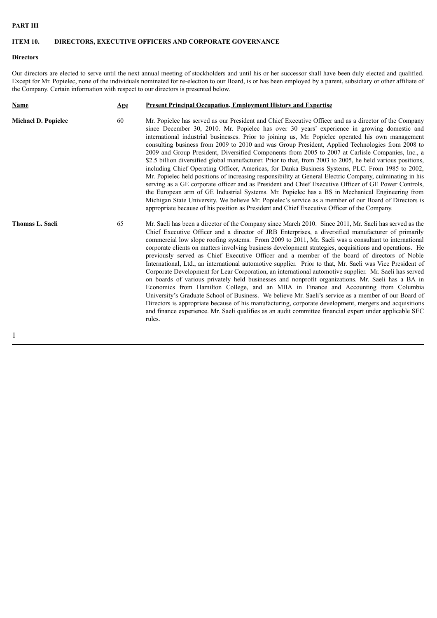## **PART III**

# **ITEM 10. DIRECTORS, EXECUTIVE OFFICERS AND CORPORATE GOVERNANCE**

## **Directors**

Our directors are elected to serve until the next annual meeting of stockholders and until his or her successor shall have been duly elected and qualified. Except for Mr. Popielec, none of the individuals nominated for re-election to our Board, is or has been employed by a parent, subsidiary or other affiliate of the Company. Certain information with respect to our directors is presented below.

| <b>Name</b>                | Age | <b>Present Principal Occupation, Employment History and Expertise</b>                                                                                                                                                                                                                                                                                                                                                                                                                                                                                                                                                                                                                                                                                                                                                                                                                                                                                                                                                                                                                                                                                                                                                                                                                     |
|----------------------------|-----|-------------------------------------------------------------------------------------------------------------------------------------------------------------------------------------------------------------------------------------------------------------------------------------------------------------------------------------------------------------------------------------------------------------------------------------------------------------------------------------------------------------------------------------------------------------------------------------------------------------------------------------------------------------------------------------------------------------------------------------------------------------------------------------------------------------------------------------------------------------------------------------------------------------------------------------------------------------------------------------------------------------------------------------------------------------------------------------------------------------------------------------------------------------------------------------------------------------------------------------------------------------------------------------------|
| <b>Michael D. Popielec</b> | 60  | Mr. Popielec has served as our President and Chief Executive Officer and as a director of the Company<br>since December 30, 2010. Mr. Popielec has over 30 years' experience in growing domestic and<br>international industrial businesses. Prior to joining us, Mr. Popielec operated his own management<br>consulting business from 2009 to 2010 and was Group President, Applied Technologies from 2008 to<br>2009 and Group President, Diversified Components from 2005 to 2007 at Carlisle Companies, Inc., a<br>\$2.5 billion diversified global manufacturer. Prior to that, from 2003 to 2005, he held various positions,<br>including Chief Operating Officer, Americas, for Danka Business Systems, PLC. From 1985 to 2002,<br>Mr. Popielec held positions of increasing responsibility at General Electric Company, culminating in his<br>serving as a GE corporate officer and as President and Chief Executive Officer of GE Power Controls,<br>the European arm of GE Industrial Systems. Mr. Popielec has a BS in Mechanical Engineering from<br>Michigan State University. We believe Mr. Popielec's service as a member of our Board of Directors is<br>appropriate because of his position as President and Chief Executive Officer of the Company.                    |
| <b>Thomas L. Saeli</b>     | 65  | Mr. Saeli has been a director of the Company since March 2010. Since 2011, Mr. Saeli has served as the<br>Chief Executive Officer and a director of JRB Enterprises, a diversified manufacturer of primarily<br>commercial low slope roofing systems. From 2009 to 2011, Mr. Saeli was a consultant to international<br>corporate clients on matters involving business development strategies, acquisitions and operations. He<br>previously served as Chief Executive Officer and a member of the board of directors of Noble<br>International, Ltd., an international automotive supplier. Prior to that, Mr. Saeli was Vice President of<br>Corporate Development for Lear Corporation, an international automotive supplier. Mr. Saeli has served<br>on boards of various privately held businesses and nonprofit organizations. Mr. Saeli has a BA in<br>Economics from Hamilton College, and an MBA in Finance and Accounting from Columbia<br>University's Graduate School of Business. We believe Mr. Saeli's service as a member of our Board of<br>Directors is appropriate because of his manufacturing, corporate development, mergers and acquisitions<br>and finance experience. Mr. Saeli qualifies as an audit committee financial expert under applicable SEC<br>rules. |
|                            |     |                                                                                                                                                                                                                                                                                                                                                                                                                                                                                                                                                                                                                                                                                                                                                                                                                                                                                                                                                                                                                                                                                                                                                                                                                                                                                           |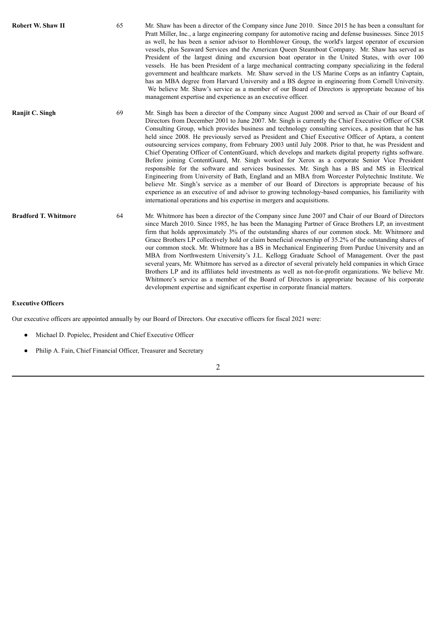| Robert W. Shaw II           | 65 | Mr. Shaw has been a director of the Company since June 2010. Since 2015 he has been a consultant for<br>Pratt Miller, Inc., a large engineering company for automotive racing and defense businesses. Since 2015<br>as well, he has been a senior advisor to Hornblower Group, the world's largest operator of excursion<br>vessels, plus Seaward Services and the American Queen Steamboat Company. Mr. Shaw has served as<br>President of the largest dining and excursion boat operator in the United States, with over 100<br>vessels. He has been President of a large mechanical contracting company specializing in the federal<br>government and healthcare markets. Mr. Shaw served in the US Marine Corps as an infantry Captain,<br>has an MBA degree from Harvard University and a BS degree in engineering from Cornell University.<br>We believe Mr. Shaw's service as a member of our Board of Directors is appropriate because of his<br>management expertise and experience as an executive officer.                                                                                                                                                                                                                   |
|-----------------------------|----|-----------------------------------------------------------------------------------------------------------------------------------------------------------------------------------------------------------------------------------------------------------------------------------------------------------------------------------------------------------------------------------------------------------------------------------------------------------------------------------------------------------------------------------------------------------------------------------------------------------------------------------------------------------------------------------------------------------------------------------------------------------------------------------------------------------------------------------------------------------------------------------------------------------------------------------------------------------------------------------------------------------------------------------------------------------------------------------------------------------------------------------------------------------------------------------------------------------------------------------------|
| Ranjit C. Singh             | 69 | Mr. Singh has been a director of the Company since August 2000 and served as Chair of our Board of<br>Directors from December 2001 to June 2007. Mr. Singh is currently the Chief Executive Officer of CSR<br>Consulting Group, which provides business and technology consulting services, a position that he has<br>held since 2008. He previously served as President and Chief Executive Officer of Aptara, a content<br>outsourcing services company, from February 2003 until July 2008. Prior to that, he was President and<br>Chief Operating Officer of ContentGuard, which develops and markets digital property rights software.<br>Before joining ContentGuard, Mr. Singh worked for Xerox as a corporate Senior Vice President<br>responsible for the software and services businesses. Mr. Singh has a BS and MS in Electrical<br>Engineering from University of Bath, England and an MBA from Worcester Polytechnic Institute. We<br>believe Mr. Singh's service as a member of our Board of Directors is appropriate because of his<br>experience as an executive of and advisor to growing technology-based companies, his familiarity with<br>international operations and his expertise in mergers and acquisitions. |
| <b>Bradford T. Whitmore</b> | 64 | Mr. Whitmore has been a director of the Company since June 2007 and Chair of our Board of Directors<br>since March 2010. Since 1985, he has been the Managing Partner of Grace Brothers LP, an investment<br>firm that holds approximately 3% of the outstanding shares of our common stock. Mr. Whitmore and<br>Grace Brothers LP collectively hold or claim beneficial ownership of 35.2% of the outstanding shares of<br>our common stock. Mr. Whitmore has a BS in Mechanical Engineering from Purdue University and an<br>MBA from Northwestern University's J.L. Kellogg Graduate School of Management. Over the past<br>several years, Mr. Whitmore has served as a director of several privately held companies in which Grace<br>Brothers LP and its affiliates held investments as well as not-for-profit organizations. We believe Mr.<br>Whitmore's service as a member of the Board of Directors is appropriate because of his corporate<br>development expertise and significant expertise in corporate financial matters.                                                                                                                                                                                                |

## **Executive Officers**

Our executive officers are appointed annually by our Board of Directors. Our executive officers for fiscal 2021 were:

- Michael D. Popielec, President and Chief Executive Officer
- Philip A. Fain, Chief Financial Officer, Treasurer and Secretary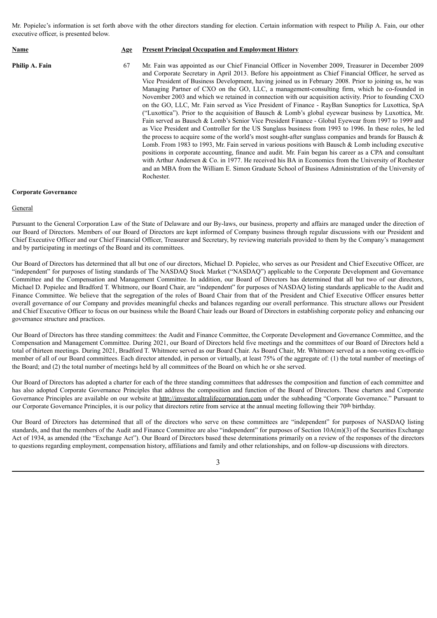Mr. Popielec's information is set forth above with the other directors standing for election. Certain information with respect to Philip A. Fain, our other executive officer, is presented below.

| Name           | Age | <b>Present Principal Occupation and Employment History</b>                                                                                                                                                                                                                                                                                                                                                                                                                                                                                                                                                                                                                                                                                                                                                                                                                                                                                                                                                                                                                                                                                                                                                                                                                                                                                                                                                                                                                                                                      |
|----------------|-----|---------------------------------------------------------------------------------------------------------------------------------------------------------------------------------------------------------------------------------------------------------------------------------------------------------------------------------------------------------------------------------------------------------------------------------------------------------------------------------------------------------------------------------------------------------------------------------------------------------------------------------------------------------------------------------------------------------------------------------------------------------------------------------------------------------------------------------------------------------------------------------------------------------------------------------------------------------------------------------------------------------------------------------------------------------------------------------------------------------------------------------------------------------------------------------------------------------------------------------------------------------------------------------------------------------------------------------------------------------------------------------------------------------------------------------------------------------------------------------------------------------------------------------|
| Philip A. Fain | 67  | Mr. Fain was appointed as our Chief Financial Officer in November 2009, Treasurer in December 2009<br>and Corporate Secretary in April 2013. Before his appointment as Chief Financial Officer, he served as<br>Vice President of Business Development, having joined us in February 2008. Prior to joining us, he was<br>Managing Partner of CXO on the GO, LLC, a management-consulting firm, which he co-founded in<br>November 2003 and which we retained in connection with our acquisition activity. Prior to founding CXO<br>on the GO, LLC, Mr. Fain served as Vice President of Finance - RayBan Sunoptics for Luxottica, SpA<br>("Luxottica"). Prior to the acquisition of Bausch & Lomb's global eyewear business by Luxottica, Mr.<br>Fain served as Bausch & Lomb's Senior Vice President Finance - Global Evewear from 1997 to 1999 and<br>as Vice President and Controller for the US Sunglass business from 1993 to 1996. In these roles, he led<br>the process to acquire some of the world's most sought-after sunglass companies and brands for Bausch $\&$<br>Lomb. From 1983 to 1993, Mr. Fain served in various positions with Bausch & Lomb including executive<br>positions in corporate accounting, finance and audit. Mr. Fain began his career as a CPA and consultant<br>with Arthur Andersen & Co. in 1977. He received his BA in Economics from the University of Rochester<br>and an MBA from the William E. Simon Graduate School of Business Administration of the University of<br>Rochester. |

#### **Corporate Governance**

#### General

Pursuant to the General Corporation Law of the State of Delaware and our By-laws, our business, property and affairs are managed under the direction of our Board of Directors. Members of our Board of Directors are kept informed of Company business through regular discussions with our President and Chief Executive Officer and our Chief Financial Officer, Treasurer and Secretary, by reviewing materials provided to them by the Company's management and by participating in meetings of the Board and its committees.

Our Board of Directors has determined that all but one of our directors, Michael D. Popielec, who serves as our President and Chief Executive Officer, are "independent" for purposes of listing standards of The NASDAQ Stock Market ("NASDAQ") applicable to the Corporate Development and Governance Committee and the Compensation and Management Committee. In addition, our Board of Directors has determined that all but two of our directors, Michael D. Popielec and Bradford T. Whitmore, our Board Chair, are "independent" for purposes of NASDAQ listing standards applicable to the Audit and Finance Committee. We believe that the segregation of the roles of Board Chair from that of the President and Chief Executive Officer ensures better overall governance of our Company and provides meaningful checks and balances regarding our overall performance. This structure allows our President and Chief Executive Officer to focus on our business while the Board Chair leads our Board of Directors in establishing corporate policy and enhancing our governance structure and practices.

Our Board of Directors has three standing committees: the Audit and Finance Committee, the Corporate Development and Governance Committee, and the Compensation and Management Committee. During 2021, our Board of Directors held five meetings and the committees of our Board of Directors held a total of thirteen meetings. During 2021, Bradford T. Whitmore served as our Board Chair. As Board Chair, Mr. Whitmore served as a non-voting ex-officio member of all of our Board committees. Each director attended, in person or virtually, at least 75% of the aggregate of: (1) the total number of meetings of the Board; and (2) the total number of meetings held by all committees of the Board on which he or she served.

Our Board of Directors has adopted a charter for each of the three standing committees that addresses the composition and function of each committee and has also adopted Corporate Governance Principles that address the composition and function of the Board of Directors. These charters and Corporate Governance Principles are available on our website at http://investor.ultralifecorporation.com under the subheading "Corporate Governance." Pursuant to our Corporate Governance Principles, it is our policy that directors retire from service at the annual meeting following their 70th birthday.

Our Board of Directors has determined that all of the directors who serve on these committees are "independent" for purposes of NASDAQ listing standards, and that the members of the Audit and Finance Committee are also "independent" for purposes of Section  $10A(m)(3)$  of the Securities Exchange Act of 1934, as amended (the "Exchange Act"). Our Board of Directors based these determinations primarily on a review of the responses of the directors to questions regarding employment, compensation history, affiliations and family and other relationships, and on follow-up discussions with directors.

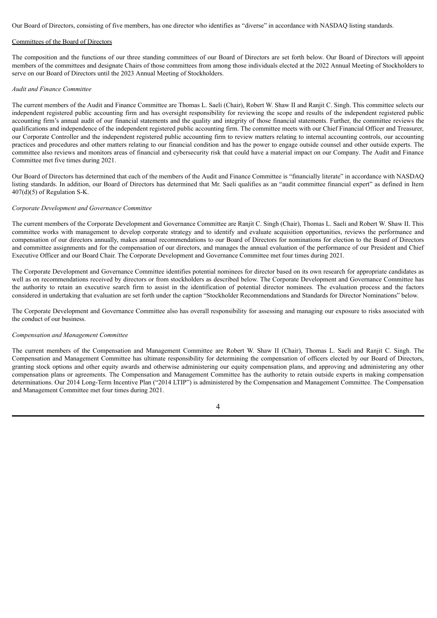Our Board of Directors, consisting of five members, has one director who identifies as "diverse" in accordance with NASDAQ listing standards.

### Committees of the Board of Directors

The composition and the functions of our three standing committees of our Board of Directors are set forth below. Our Board of Directors will appoint members of the committees and designate Chairs of those committees from among those individuals elected at the 2022 Annual Meeting of Stockholders to serve on our Board of Directors until the 2023 Annual Meeting of Stockholders.

#### *Audit and Finance Committee*

The current members of the Audit and Finance Committee are Thomas L. Saeli (Chair), Robert W. Shaw II and Ranjit C. Singh. This committee selects our independent registered public accounting firm and has oversight responsibility for reviewing the scope and results of the independent registered public accounting firm's annual audit of our financial statements and the quality and integrity of those financial statements. Further, the committee reviews the qualifications and independence of the independent registered public accounting firm. The committee meets with our Chief Financial Officer and Treasurer, our Corporate Controller and the independent registered public accounting firm to review matters relating to internal accounting controls, our accounting practices and procedures and other matters relating to our financial condition and has the power to engage outside counsel and other outside experts. The committee also reviews and monitors areas of financial and cybersecurity risk that could have a material impact on our Company. The Audit and Finance Committee met five times during 2021.

Our Board of Directors has determined that each of the members of the Audit and Finance Committee is "financially literate" in accordance with NASDAQ listing standards. In addition, our Board of Directors has determined that Mr. Saeli qualifies as an "audit committee financial expert" as defined in Item 407(d)(5) of Regulation S-K.

#### *Corporate Development and Governance Committee*

The current members of the Corporate Development and Governance Committee are Ranjit C. Singh (Chair), Thomas L. Saeli and Robert W. Shaw II. This committee works with management to develop corporate strategy and to identify and evaluate acquisition opportunities, reviews the performance and compensation of our directors annually, makes annual recommendations to our Board of Directors for nominations for election to the Board of Directors and committee assignments and for the compensation of our directors, and manages the annual evaluation of the performance of our President and Chief Executive Officer and our Board Chair. The Corporate Development and Governance Committee met four times during 2021.

The Corporate Development and Governance Committee identifies potential nominees for director based on its own research for appropriate candidates as well as on recommendations received by directors or from stockholders as described below. The Corporate Development and Governance Committee has the authority to retain an executive search firm to assist in the identification of potential director nominees. The evaluation process and the factors considered in undertaking that evaluation are set forth under the caption "Stockholder Recommendations and Standards for Director Nominations" below.

The Corporate Development and Governance Committee also has overall responsibility for assessing and managing our exposure to risks associated with the conduct of our business.

#### *Compensation and Management Committee*

The current members of the Compensation and Management Committee are Robert W. Shaw II (Chair), Thomas L. Saeli and Ranjit C. Singh. The Compensation and Management Committee has ultimate responsibility for determining the compensation of officers elected by our Board of Directors, granting stock options and other equity awards and otherwise administering our equity compensation plans, and approving and administering any other compensation plans or agreements. The Compensation and Management Committee has the authority to retain outside experts in making compensation determinations. Our 2014 Long-Term Incentive Plan ("2014 LTIP") is administered by the Compensation and Management Committee. The Compensation and Management Committee met four times during 2021.

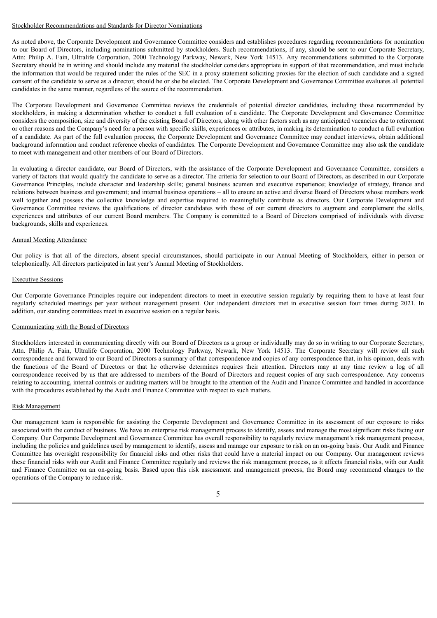#### Stockholder Recommendations and Standards for Director Nominations

As noted above, the Corporate Development and Governance Committee considers and establishes procedures regarding recommendations for nomination to our Board of Directors, including nominations submitted by stockholders. Such recommendations, if any, should be sent to our Corporate Secretary, Attn: Philip A. Fain, Ultralife Corporation, 2000 Technology Parkway, Newark, New York 14513. Any recommendations submitted to the Corporate Secretary should be in writing and should include any material the stockholder considers appropriate in support of that recommendation, and must include the information that would be required under the rules of the SEC in a proxy statement soliciting proxies for the election of such candidate and a signed consent of the candidate to serve as a director, should he or she be elected. The Corporate Development and Governance Committee evaluates all potential candidates in the same manner, regardless of the source of the recommendation.

The Corporate Development and Governance Committee reviews the credentials of potential director candidates, including those recommended by stockholders, in making a determination whether to conduct a full evaluation of a candidate. The Corporate Development and Governance Committee considers the composition, size and diversity of the existing Board of Directors, along with other factors such as any anticipated vacancies due to retirement or other reasons and the Company's need for a person with specific skills, experiences or attributes, in making its determination to conduct a full evaluation of a candidate. As part of the full evaluation process, the Corporate Development and Governance Committee may conduct interviews, obtain additional background information and conduct reference checks of candidates. The Corporate Development and Governance Committee may also ask the candidate to meet with management and other members of our Board of Directors.

In evaluating a director candidate, our Board of Directors, with the assistance of the Corporate Development and Governance Committee, considers a variety of factors that would qualify the candidate to serve as a director. The criteria for selection to our Board of Directors, as described in our Corporate Governance Principles, include character and leadership skills; general business acumen and executive experience; knowledge of strategy, finance and relations between business and government; and internal business operations – all to ensure an active and diverse Board of Directors whose members work well together and possess the collective knowledge and expertise required to meaningfully contribute as directors. Our Corporate Development and Governance Committee reviews the qualifications of director candidates with those of our current directors to augment and complement the skills, experiences and attributes of our current Board members. The Company is committed to a Board of Directors comprised of individuals with diverse backgrounds, skills and experiences.

#### Annual Meeting Attendance

Our policy is that all of the directors, absent special circumstances, should participate in our Annual Meeting of Stockholders, either in person or telephonically. All directors participated in last year's Annual Meeting of Stockholders.

#### Executive Sessions

Our Corporate Governance Principles require our independent directors to meet in executive session regularly by requiring them to have at least four regularly scheduled meetings per year without management present. Our independent directors met in executive session four times during 2021. In addition, our standing committees meet in executive session on a regular basis.

#### Communicating with the Board of Directors

Stockholders interested in communicating directly with our Board of Directors as a group or individually may do so in writing to our Corporate Secretary, Attn. Philip A. Fain, Ultralife Corporation, 2000 Technology Parkway, Newark, New York 14513. The Corporate Secretary will review all such correspondence and forward to our Board of Directors a summary of that correspondence and copies of any correspondence that, in his opinion, deals with the functions of the Board of Directors or that he otherwise determines requires their attention. Directors may at any time review a log of all correspondence received by us that are addressed to members of the Board of Directors and request copies of any such correspondence. Any concerns relating to accounting, internal controls or auditing matters will be brought to the attention of the Audit and Finance Committee and handled in accordance with the procedures established by the Audit and Finance Committee with respect to such matters.

## Risk Management

Our management team is responsible for assisting the Corporate Development and Governance Committee in its assessment of our exposure to risks associated with the conduct of business. We have an enterprise risk management process to identify, assess and manage the most significant risks facing our Company. Our Corporate Development and Governance Committee has overall responsibility to regularly review management's risk management process, including the policies and guidelines used by management to identify, assess and manage our exposure to risk on an on-going basis. Our Audit and Finance Committee has oversight responsibility for financial risks and other risks that could have a material impact on our Company. Our management reviews these financial risks with our Audit and Finance Committee regularly and reviews the risk management process, as it affects financial risks, with our Audit and Finance Committee on an on-going basis. Based upon this risk assessment and management process, the Board may recommend changes to the operations of the Company to reduce risk.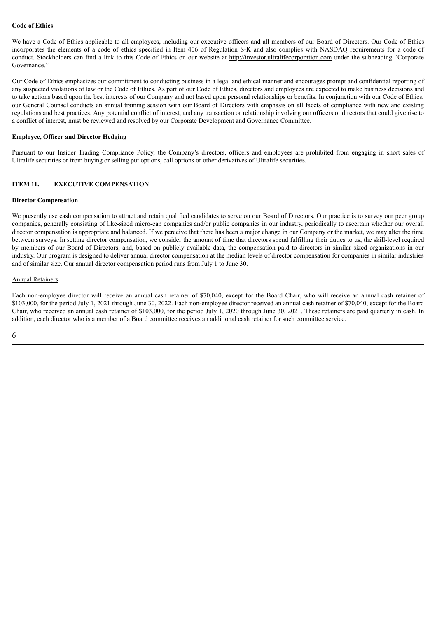## **Code of Ethics**

We have a Code of Ethics applicable to all employees, including our executive officers and all members of our Board of Directors. Our Code of Ethics incorporates the elements of a code of ethics specified in Item 406 of Regulation S-K and also complies with NASDAQ requirements for a code of conduct. Stockholders can find a link to this Code of Ethics on our website at http://investor.ultralifecorporation.com under the subheading "Corporate Governance."

Our Code of Ethics emphasizes our commitment to conducting business in a legal and ethical manner and encourages prompt and confidential reporting of any suspected violations of law or the Code of Ethics. As part of our Code of Ethics, directors and employees are expected to make business decisions and to take actions based upon the best interests of our Company and not based upon personal relationships or benefits. In conjunction with our Code of Ethics, our General Counsel conducts an annual training session with our Board of Directors with emphasis on all facets of compliance with new and existing regulations and best practices. Any potential conflict of interest, and any transaction or relationship involving our officers or directors that could give rise to a conflict of interest, must be reviewed and resolved by our Corporate Development and Governance Committee.

#### **Employee, Officer and Director Hedging**

Pursuant to our Insider Trading Compliance Policy, the Company's directors, officers and employees are prohibited from engaging in short sales of Ultralife securities or from buying or selling put options, call options or other derivatives of Ultralife securities.

## **ITEM 11. EXECUTIVE COMPENSATION**

#### **Director Compensation**

We presently use cash compensation to attract and retain qualified candidates to serve on our Board of Directors. Our practice is to survey our peer group companies, generally consisting of like-sized micro-cap companies and/or public companies in our industry, periodically to ascertain whether our overall director compensation is appropriate and balanced. If we perceive that there has been a major change in our Company or the market, we may alter the time between surveys. In setting director compensation, we consider the amount of time that directors spend fulfilling their duties to us, the skill-level required by members of our Board of Directors, and, based on publicly available data, the compensation paid to directors in similar sized organizations in our industry. Our program is designed to deliver annual director compensation at the median levels of director compensation for companies in similar industries and of similar size. Our annual director compensation period runs from July 1 to June 30.

#### Annual Retainers

Each non-employee director will receive an annual cash retainer of \$70,040, except for the Board Chair, who will receive an annual cash retainer of \$103,000, for the period July 1, 2021 through June 30, 2022. Each non-employee director received an annual cash retainer of \$70,040, except for the Board Chair, who received an annual cash retainer of \$103,000, for the period July 1, 2020 through June 30, 2021. These retainers are paid quarterly in cash. In addition, each director who is a member of a Board committee receives an additional cash retainer for such committee service.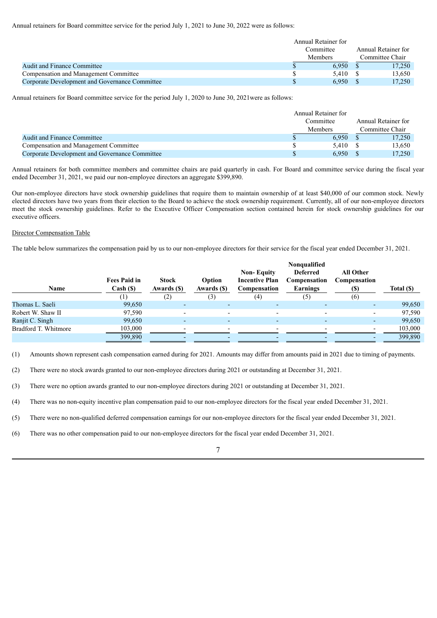Annual retainers for Board committee service for the period July 1, 2021 to June 30, 2022 were as follows:

|                                                | Annual Retainer for |  |                     |
|------------------------------------------------|---------------------|--|---------------------|
|                                                | Committee           |  | Annual Retainer for |
|                                                | <b>Members</b>      |  | Committee Chair     |
| <b>Audit and Finance Committee</b>             | 6.950               |  | 17.250              |
| Compensation and Management Committee          | 5.410               |  | 13.650              |
| Corporate Development and Governance Committee | 6.950               |  | 17.250              |

Annual retainers for Board committee service for the period July 1, 2020 to June 30, 2021were as follows:

|                                                | Annual Retainer for |                     |
|------------------------------------------------|---------------------|---------------------|
|                                                | Committee           | Annual Retainer for |
|                                                | <b>Members</b>      | Committee Chair     |
| <b>Audit and Finance Committee</b>             | 6.950               | 17,250              |
| Compensation and Management Committee          | 5.410               | 13,650              |
| Corporate Development and Governance Committee | 6.950               | 17,250              |

Annual retainers for both committee members and committee chairs are paid quarterly in cash. For Board and committee service during the fiscal year ended December 31, 2021, we paid our non-employee directors an aggregate \$399,890.

Our non-employee directors have stock ownership guidelines that require them to maintain ownership of at least \$40,000 of our common stock. Newly elected directors have two years from their election to the Board to achieve the stock ownership requirement. Currently, all of our non-employee directors meet the stock ownership guidelines. Refer to the Executive Officer Compensation section contained herein for stock ownership guidelines for our executive officers.

### Director Compensation Table

The table below summarizes the compensation paid by us to our non-employee directors for their service for the fiscal year ended December 31, 2021.

|                      |                                 |                             | Nonqualified             |                                                            |                                             |                                  |            |
|----------------------|---------------------------------|-----------------------------|--------------------------|------------------------------------------------------------|---------------------------------------------|----------------------------------|------------|
| <b>Name</b>          | <b>Fees Paid in</b><br>Cash (S) | <b>Stock</b><br>Awards (\$) | Option<br>Awards (\$)    | <b>Non-Equity</b><br><b>Incentive Plan</b><br>Compensation | <b>Deferred</b><br>Compensation<br>Earnings | <b>All Other</b><br>Compensation | Total (\$) |
|                      | 1)                              | (2)                         | (3)                      | (4)                                                        | (5)                                         | (6)                              |            |
| Thomas L. Saeli      | 99,650                          | $\overline{\phantom{0}}$    | $\overline{\phantom{0}}$ | ٠                                                          |                                             |                                  | 99,650     |
| Robert W. Shaw II    | 97,590                          | $\overline{\phantom{a}}$    | $\overline{\phantom{0}}$ |                                                            | $\overline{\phantom{0}}$                    |                                  | 97,590     |
| Ranjit C. Singh      | 99,650                          | -                           | $\overline{\phantom{0}}$ | $\overline{\phantom{0}}$                                   | -                                           |                                  | 99,650     |
| Bradford T. Whitmore | 103,000                         | $\overline{\phantom{0}}$    | $\overline{\phantom{0}}$ | $\overline{\phantom{0}}$                                   | $\overline{\phantom{0}}$                    |                                  | 103,000    |
|                      | 399,890                         |                             |                          |                                                            |                                             |                                  | 399,890    |

(1) Amounts shown represent cash compensation earned during for 2021. Amounts may differ from amounts paid in 2021 due to timing of payments.

(2) There were no stock awards granted to our non-employee directors during 2021 or outstanding at December 31, 2021.

(3) There were no option awards granted to our non-employee directors during 2021 or outstanding at December 31, 2021.

(4) There was no non-equity incentive plan compensation paid to our non-employee directors for the fiscal year ended December 31, 2021.

(5) There were no non-qualified deferred compensation earnings for our non-employee directors for the fiscal year ended December 31, 2021.

(6) There was no other compensation paid to our non-employee directors for the fiscal year ended December 31, 2021.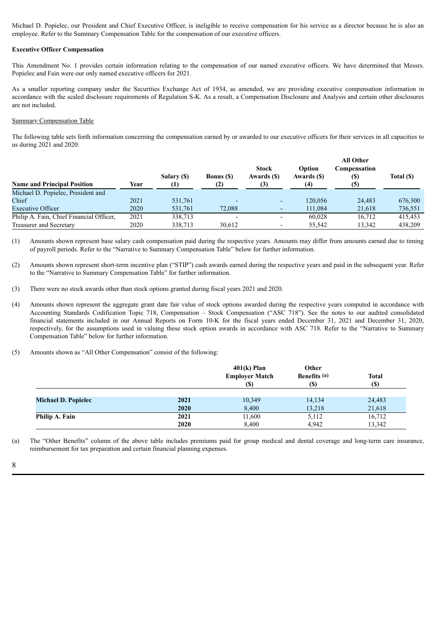Michael D. Popielec, our President and Chief Executive Officer, is ineligible to receive compensation for his service as a director because he is also an employee. Refer to the Summary Compensation Table for the compensation of our executive officers.

#### **Executive Officer Compensation**

This Amendment No. 1 provides certain information relating to the compensation of our named executive officers. We have determined that Messrs. Popielec and Fain were our only named executive officers for 2021.

As a smaller reporting company under the Securities Exchange Act of 1934, as amended, we are providing executive compensation information in accordance with the scaled disclosure requirements of Regulation S-K. As a result, a Compensation Disclosure and Analysis and certain other disclosures are not included.

#### Summary Compensation Table

The following table sets forth information concerning the compensation earned by or awarded to our executive officers for their services in all capacities to us during 2021 and 2020:

| <b>Name and Principal Position</b>       | Year | Salary (\$)<br>(1) | <b>Bonus</b> (\$)<br>(2) | <b>Stock</b><br>Awards (\$) | Option<br>Awards (\$)<br>(4) | <b>All Other</b><br>Compensation<br>(S)<br>(5) | Total (\$) |
|------------------------------------------|------|--------------------|--------------------------|-----------------------------|------------------------------|------------------------------------------------|------------|
| Michael D. Popielec, President and       |      |                    |                          |                             |                              |                                                |            |
| Chief                                    | 2021 | 531,761            |                          |                             | 120.056                      | 24.483                                         | 676,300    |
| <b>Executive Officer</b>                 | 2020 | 531,761            | 72,088                   |                             | 111.084                      | 21,618                                         | 736,551    |
| Philip A. Fain, Chief Financial Officer, | 2021 | 338,713            |                          |                             | 60.028                       | 16.712                                         | 415,453    |
| <b>Treasurer and Secretary</b>           | 2020 | 338,713            | 30,612                   |                             | 55,542                       | 13,342                                         | 438,209    |

(1) Amounts shown represent base salary cash compensation paid during the respective years. Amounts may differ from amounts earned due to timing of payroll periods. Refer to the "Narrative to Summary Compensation Table" below for further information.

- (2) Amounts shown represent short-term incentive plan ("STIP") cash awards earned during the respective years and paid in the subsequent year. Refer to the "Narrative to Summary Compensation Table" for further information.
- (3) There were no stock awards other than stock options granted during fiscal years 2021 and 2020.
- (4) Amounts shown represent the aggregate grant date fair value of stock options awarded during the respective years computed in accordance with Accounting Standards Codification Topic 718, Compensation – Stock Compensation ("ASC 718"). See the notes to our audited consolidated financial statements included in our Annual Reports on Form 10-K for the fiscal years ended December 31, 2021 and December 31, 2020, respectively, for the assumptions used in valuing these stock option awards in accordance with ASC 718. Refer to the "Narrative to Summary Compensation Table" below for further information.
- (5) Amounts shown as "All Other Compensation" consist of the following:

|                            |              | $401(k)$ Plan<br><b>Employer Match</b><br>(S) | Other<br><b>Benefits</b> (a)<br>(S) | <b>Total</b><br><b>(S)</b> |
|----------------------------|--------------|-----------------------------------------------|-------------------------------------|----------------------------|
| <b>Michael D. Popielec</b> | 2021         | 10,349                                        | 14,134                              | 24,483                     |
|                            | 2020         | 8,400                                         | 13,218                              | 21,618                     |
| Philip A. Fain             | 2021<br>2020 | 11,600<br>8,400                               | 5,112<br>4.942                      | 16,712<br>13,342           |

(a) The "Other Benefits" column of the above table includes premiums paid for group medical and dental coverage and long-term care insurance, reimbursement for tax preparation and certain financial planning expenses.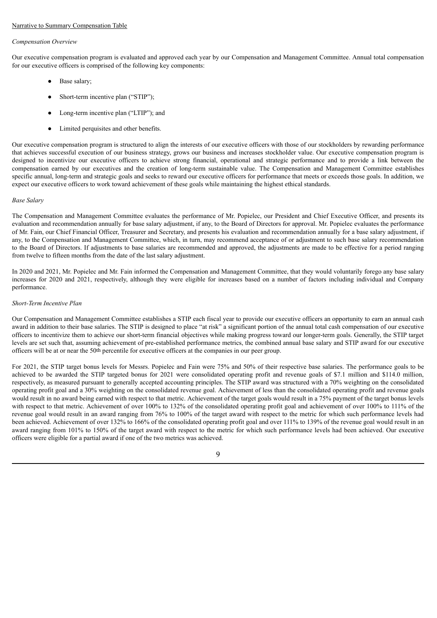#### Narrative to Summary Compensation Table

#### *Compensation Overview*

Our executive compensation program is evaluated and approved each year by our Compensation and Management Committee. Annual total compensation for our executive officers is comprised of the following key components:

- Base salary;
- Short-term incentive plan ("STIP"):
- Long-term incentive plan ("LTIP"); and
- Limited perquisites and other benefits.

Our executive compensation program is structured to align the interests of our executive officers with those of our stockholders by rewarding performance that achieves successful execution of our business strategy, grows our business and increases stockholder value. Our executive compensation program is designed to incentivize our executive officers to achieve strong financial, operational and strategic performance and to provide a link between the compensation earned by our executives and the creation of long-term sustainable value. The Compensation and Management Committee establishes specific annual, long-term and strategic goals and seeks to reward our executive officers for performance that meets or exceeds those goals. In addition, we expect our executive officers to work toward achievement of these goals while maintaining the highest ethical standards.

## *Base Salary*

The Compensation and Management Committee evaluates the performance of Mr. Popielec, our President and Chief Executive Officer, and presents its evaluation and recommendation annually for base salary adjustment, if any, to the Board of Directors for approval. Mr. Popielec evaluates the performance of Mr. Fain, our Chief Financial Officer, Treasurer and Secretary, and presents his evaluation and recommendation annually for a base salary adjustment, if any, to the Compensation and Management Committee, which, in turn, may recommend acceptance of or adjustment to such base salary recommendation to the Board of Directors. If adjustments to base salaries are recommended and approved, the adjustments are made to be effective for a period ranging from twelve to fifteen months from the date of the last salary adjustment.

In 2020 and 2021, Mr. Popielec and Mr. Fain informed the Compensation and Management Committee, that they would voluntarily forego any base salary increases for 2020 and 2021, respectively, although they were eligible for increases based on a number of factors including individual and Company performance.

#### *Short-Term Incentive Plan*

Our Compensation and Management Committee establishes a STIP each fiscal year to provide our executive officers an opportunity to earn an annual cash award in addition to their base salaries. The STIP is designed to place "at risk" a significant portion of the annual total cash compensation of our executive officers to incentivize them to achieve our short-term financial objectives while making progress toward our longer-term goals. Generally, the STIP target levels are set such that, assuming achievement of pre-established performance metrics, the combined annual base salary and STIP award for our executive officers will be at or near the 50th percentile for executive officers at the companies in our peer group.

For 2021, the STIP target bonus levels for Messrs. Popielec and Fain were 75% and 50% of their respective base salaries. The performance goals to be achieved to be awarded the STIP targeted bonus for 2021 were consolidated operating profit and revenue goals of \$7.1 million and \$114.0 million, respectively, as measured pursuant to generally accepted accounting principles. The STIP award was structured with a 70% weighting on the consolidated operating profit goal and a 30% weighting on the consolidated revenue goal. Achievement of less than the consolidated operating profit and revenue goals would result in no award being earned with respect to that metric. Achievement of the target goals would result in a 75% payment of the target bonus levels with respect to that metric. Achievement of over 100% to 132% of the consolidated operating profit goal and achievement of over 100% to 111% of the revenue goal would result in an award ranging from 76% to 100% of the target award with respect to the metric for which such performance levels had been achieved. Achievement of over 132% to 166% of the consolidated operating profit goal and over 111% to 139% of the revenue goal would result in an award ranging from 101% to 150% of the target award with respect to the metric for which such performance levels had been achieved. Our executive officers were eligible for a partial award if one of the two metrics was achieved.

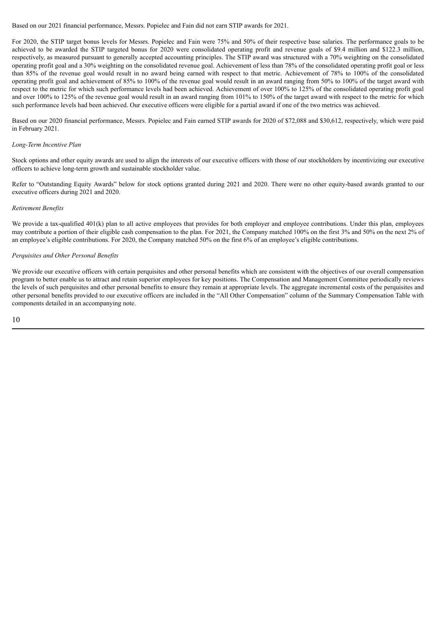Based on our 2021 financial performance, Messrs. Popielec and Fain did not earn STIP awards for 2021.

For 2020, the STIP target bonus levels for Messrs. Popielec and Fain were 75% and 50% of their respective base salaries. The performance goals to be achieved to be awarded the STIP targeted bonus for 2020 were consolidated operating profit and revenue goals of \$9.4 million and \$122.3 million, respectively, as measured pursuant to generally accepted accounting principles. The STIP award was structured with a 70% weighting on the consolidated operating profit goal and a 30% weighting on the consolidated revenue goal. Achievement of less than 78% of the consolidated operating profit goal or less than 85% of the revenue goal would result in no award being earned with respect to that metric. Achievement of 78% to 100% of the consolidated operating profit goal and achievement of 85% to 100% of the revenue goal would result in an award ranging from 50% to 100% of the target award with respect to the metric for which such performance levels had been achieved. Achievement of over 100% to 125% of the consolidated operating profit goal and over 100% to 125% of the revenue goal would result in an award ranging from 101% to 150% of the target award with respect to the metric for which such performance levels had been achieved. Our executive officers were eligible for a partial award if one of the two metrics was achieved.

Based on our 2020 financial performance, Messrs. Popielec and Fain earned STIP awards for 2020 of \$72,088 and \$30,612, respectively, which were paid in February 2021.

#### *Long-Term Incentive Plan*

Stock options and other equity awards are used to align the interests of our executive officers with those of our stockholders by incentivizing our executive officers to achieve long-term growth and sustainable stockholder value.

Refer to "Outstanding Equity Awards" below for stock options granted during 2021 and 2020. There were no other equity-based awards granted to our executive officers during 2021 and 2020.

#### *Retirement Benefits*

We provide a tax-qualified  $401(k)$  plan to all active employees that provides for both employer and employee contributions. Under this plan, employees may contribute a portion of their eligible cash compensation to the plan. For 2021, the Company matched 100% on the first 3% and 50% on the next 2% of an employee's eligible contributions. For 2020, the Company matched 50% on the first 6% of an employee's eligible contributions.

### *Perquisites and Other Personal Benefits*

We provide our executive officers with certain perquisites and other personal benefits which are consistent with the objectives of our overall compensation program to better enable us to attract and retain superior employees for key positions. The Compensation and Management Committee periodically reviews the levels of such perquisites and other personal benefits to ensure they remain at appropriate levels. The aggregate incremental costs of the perquisites and other personal benefits provided to our executive officers are included in the "All Other Compensation" column of the Summary Compensation Table with components detailed in an accompanying note.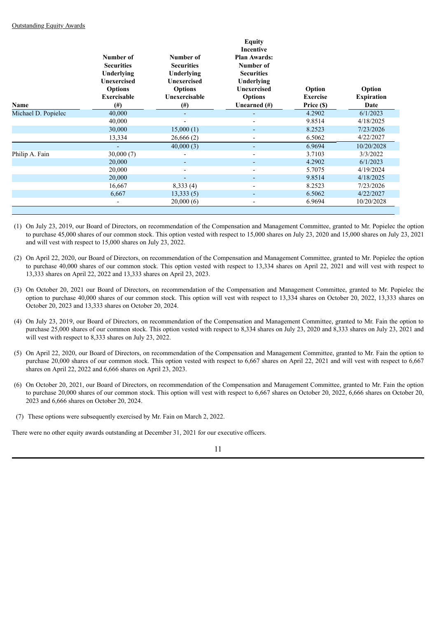|                     | Number of<br><b>Securities</b><br>Underlying<br>Unexercised<br><b>Options</b><br><b>Exercisable</b> | Number of<br><b>Securities</b><br>Underlying<br>Unexercised<br><b>Options</b><br>Unexercisable | <b>Equity</b><br>Incentive<br><b>Plan Awards:</b><br>Number of<br><b>Securities</b><br>Underlying<br><b>Unexercised</b><br><b>Options</b> | Option<br><b>Exercise</b> | Option<br><b>Expiration</b> |
|---------------------|-----------------------------------------------------------------------------------------------------|------------------------------------------------------------------------------------------------|-------------------------------------------------------------------------------------------------------------------------------------------|---------------------------|-----------------------------|
| Name                | $(\#)$                                                                                              | $(\#)$                                                                                         | Unearned $(\#)$                                                                                                                           | Price (\$)                | Date                        |
| Michael D. Popielec | 40,000                                                                                              | ٠                                                                                              | ٠                                                                                                                                         | 4.2902                    | 6/1/2023                    |
|                     | 40,000                                                                                              |                                                                                                | $\overline{\phantom{0}}$                                                                                                                  | 9.8514                    | 4/18/2025                   |
|                     | 30,000                                                                                              | 15,000(1)                                                                                      | ٠                                                                                                                                         | 8.2523                    | 7/23/2026                   |
|                     | 13,334                                                                                              | 26,666(2)                                                                                      | $\blacksquare$                                                                                                                            | 6.5062                    | 4/22/2027                   |
|                     | $\overline{\phantom{a}}$                                                                            | 40,000(3)                                                                                      | ٠                                                                                                                                         | 6.9694                    | 10/20/2028                  |
| Philip A. Fain      | 30,000(7)                                                                                           |                                                                                                | $\blacksquare$                                                                                                                            | 3.7103                    | 3/3/2022                    |
|                     | 20,000                                                                                              |                                                                                                |                                                                                                                                           | 4.2902                    | 6/1/2023                    |
|                     | 20,000                                                                                              |                                                                                                | $\overline{\phantom{0}}$                                                                                                                  | 5.7075                    | 4/19/2024                   |
|                     | 20,000                                                                                              |                                                                                                | ٠                                                                                                                                         | 9.8514                    | 4/18/2025                   |
|                     | 16,667                                                                                              | 8,333(4)                                                                                       | $\overline{\phantom{a}}$                                                                                                                  | 8.2523                    | 7/23/2026                   |
|                     | 6,667                                                                                               | 13,333(5)                                                                                      |                                                                                                                                           | 6.5062                    | 4/22/2027                   |
|                     | ۰                                                                                                   | 20,000(6)                                                                                      | $\overline{\phantom{a}}$                                                                                                                  | 6.9694                    | 10/20/2028                  |
|                     |                                                                                                     |                                                                                                |                                                                                                                                           |                           |                             |

- (1) On July 23, 2019, our Board of Directors, on recommendation of the Compensation and Management Committee, granted to Mr. Popielec the option to purchase 45,000 shares of our common stock. This option vested with respect to 15,000 shares on July 23, 2020 and 15,000 shares on July 23, 2021 and will vest with respect to 15,000 shares on July 23, 2022.
- (2) On April 22, 2020, our Board of Directors, on recommendation of the Compensation and Management Committee, granted to Mr. Popielec the option to purchase 40,000 shares of our common stock. This option vested with respect to 13,334 shares on April 22, 2021 and will vest with respect to 13,333 shares on April 22, 2022 and 13,333 shares on April 23, 2023.
- (3) On October 20, 2021 our Board of Directors, on recommendation of the Compensation and Management Committee, granted to Mr. Popielec the option to purchase 40,000 shares of our common stock. This option will vest with respect to 13,334 shares on October 20, 2022, 13,333 shares on October 20, 2023 and 13,333 shares on October 20, 2024.
- (4) On July 23, 2019, our Board of Directors, on recommendation of the Compensation and Management Committee, granted to Mr. Fain the option to purchase 25,000 shares of our common stock. This option vested with respect to 8,334 shares on July 23, 2020 and 8,333 shares on July 23, 2021 and will vest with respect to 8,333 shares on July 23, 2022.
- (5) On April 22, 2020, our Board of Directors, on recommendation of the Compensation and Management Committee, granted to Mr. Fain the option to purchase 20,000 shares of our common stock. This option vested with respect to 6,667 shares on April 22, 2021 and will vest with respect to 6,667 shares on April 22, 2022 and 6,666 shares on April 23, 2023.
- (6) On October 20, 2021, our Board of Directors, on recommendation of the Compensation and Management Committee, granted to Mr. Fain the option to purchase 20,000 shares of our common stock. This option will vest with respect to 6,667 shares on October 20, 2022, 6,666 shares on October 20, 2023 and 6,666 shares on October 20, 2024.
- (7) These options were subsequently exercised by Mr. Fain on March 2, 2022.

There were no other equity awards outstanding at December 31, 2021 for our executive officers.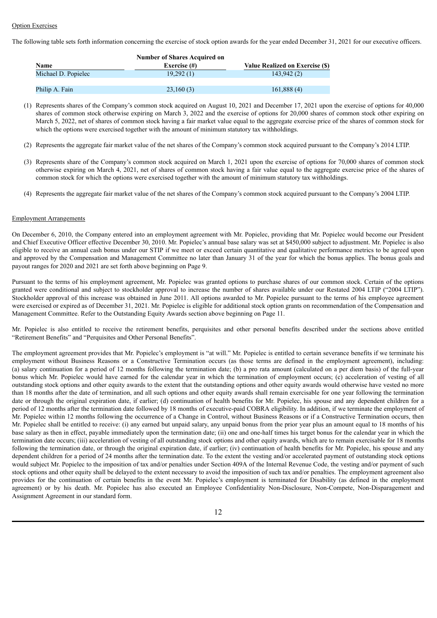#### **Option Exercises**

The following table sets forth information concerning the exercise of stock option awards for the year ended December 31, 2021 for our executive officers.

| <b>Number of Shares Acquired on</b> |                 |                                 |  |  |  |
|-------------------------------------|-----------------|---------------------------------|--|--|--|
| Name                                | Exercise $(\#)$ | Value Realized on Exercise (\$) |  |  |  |
| Michael D. Popielec                 | 19.292(1)       | 143.942(2)                      |  |  |  |
|                                     |                 |                                 |  |  |  |
| Philip A. Fain                      | 23,160(3)       | 161,888(4)                      |  |  |  |

(1) Represents shares of the Company's common stock acquired on August 10, 2021 and December 17, 2021 upon the exercise of options for 40,000 shares of common stock otherwise expiring on March 3, 2022 and the exercise of options for 20,000 shares of common stock other expiring on March 5, 2022, net of shares of common stock having a fair market value equal to the aggregate exercise price of the shares of common stock for which the options were exercised together with the amount of minimum statutory tax withholdings.

- (2) Represents the aggregate fair market value of the net shares of the Company's common stock acquired pursuant to the Company's 2014 LTIP.
- (3) Represents share of the Company's common stock acquired on March 1, 2021 upon the exercise of options for 70,000 shares of common stock otherwise expiring on March 4, 2021, net of shares of common stock having a fair value equal to the aggregate exercise price of the shares of common stock for which the options were exercised together with the amount of minimum statutory tax withholdings.
- (4) Represents the aggregate fair market value of the net shares of the Company's common stock acquired pursuant to the Company's 2004 LTIP.

#### Employment Arrangements

On December 6, 2010, the Company entered into an employment agreement with Mr. Popielec, providing that Mr. Popielec would become our President and Chief Executive Officer effective December 30, 2010. Mr. Popielec's annual base salary was set at \$450,000 subject to adjustment. Mr. Popielec is also eligible to receive an annual cash bonus under our STIP if we meet or exceed certain quantitative and qualitative performance metrics to be agreed upon and approved by the Compensation and Management Committee no later than January 31 of the year for which the bonus applies. The bonus goals and payout ranges for 2020 and 2021 are set forth above beginning on Page 9.

Pursuant to the terms of his employment agreement, Mr. Popielec was granted options to purchase shares of our common stock. Certain of the options granted were conditional and subject to stockholder approval to increase the number of shares available under our Restated 2004 LTIP ("2004 LTIP"). Stockholder approval of this increase was obtained in June 2011. All options awarded to Mr. Popielec pursuant to the terms of his employee agreement were exercised or expired as of December 31, 2021. Mr. Popielec is eligible for additional stock option grants on recommendation of the Compensation and Management Committee. Refer to the Outstanding Equity Awards section above beginning on Page 11.

Mr. Popielec is also entitled to receive the retirement benefits, perquisites and other personal benefits described under the sections above entitled "Retirement Benefits" and "Perquisites and Other Personal Benefits".

The employment agreement provides that Mr. Popielec's employment is "at will." Mr. Popielec is entitled to certain severance benefits if we terminate his employment without Business Reasons or a Constructive Termination occurs (as those terms are defined in the employment agreement), including: (a) salary continuation for a period of 12 months following the termination date; (b) a pro rata amount (calculated on a per diem basis) of the full-year bonus which Mr. Popielec would have earned for the calendar year in which the termination of employment occurs; (c) acceleration of vesting of all outstanding stock options and other equity awards to the extent that the outstanding options and other equity awards would otherwise have vested no more than 18 months after the date of termination, and all such options and other equity awards shall remain exercisable for one year following the termination date or through the original expiration date, if earlier; (d) continuation of health benefits for Mr. Popielec, his spouse and any dependent children for a period of 12 months after the termination date followed by 18 months of executive-paid COBRA eligibility. In addition, if we terminate the employment of Mr. Popielec within 12 months following the occurrence of a Change in Control, without Business Reasons or if a Constructive Termination occurs, then Mr. Popielec shall be entitled to receive: (i) any earned but unpaid salary, any unpaid bonus from the prior year plus an amount equal to 18 months of his base salary as then in effect, payable immediately upon the termination date; (ii) one and one-half times his target bonus for the calendar year in which the termination date occurs; (iii) acceleration of vesting of all outstanding stock options and other equity awards, which are to remain exercisable for 18 months following the termination date, or through the original expiration date, if earlier; (iv) continuation of health benefits for Mr. Popielec, his spouse and any dependent children for a period of 24 months after the termination date. To the extent the vesting and/or accelerated payment of outstanding stock options would subject Mr. Popielec to the imposition of tax and/or penalties under Section 409A of the Internal Revenue Code, the vesting and/or payment of such stock options and other equity shall be delayed to the extent necessary to avoid the imposition of such tax and/or penalties. The employment agreement also provides for the continuation of certain benefits in the event Mr. Popielec's employment is terminated for Disability (as defined in the employment agreement) or by his death. Mr. Popielec has also executed an Employee Confidentiality Non-Disclosure, Non-Compete, Non-Disparagement and Assignment Agreement in our standard form.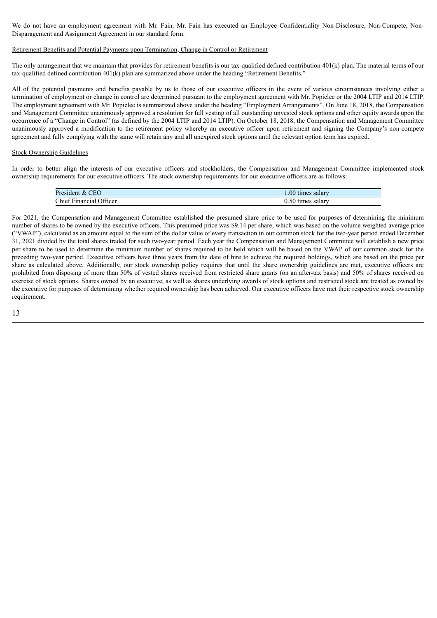We do not have an employment agreement with Mr. Fain. Mr. Fain has executed an Employee Confidentiality Non-Disclosure, Non-Compete, Non-Disparagement and Assignment Agreement in our standard form.

#### Retirement Benefits and Potential Payments upon Termination, Change in Control or Retirement

The only arrangement that we maintain that provides for retirement benefits is our tax-qualified defined contribution 401(k) plan. The material terms of our tax-qualified defined contribution 401(k) plan are summarized above under the heading "Retirement Benefits."

All of the potential payments and benefits payable by us to those of our executive officers in the event of various circumstances involving either a termination of employment or change in control are determined pursuant to the employment agreement with Mr. Popielec or the 2004 LTIP and 2014 LTIP. The employment agreement with Mr. Popielec is summarized above under the heading "Employment Arrangements". On June 18, 2018, the Compensation and Management Committee unanimously approved a resolution for full vesting of all outstanding unvested stock options and other equity awards upon the occurrence of a "Change in Control" (as defined by the 2004 LTIP and 2014 LTIP). On October 18, 2018, the Compensation and Management Committee unanimously approved a modification to the retirement policy whereby an executive officer upon retirement and signing the Company's non-compete agreement and fully complying with the same will retain any and all unexpired stock options until the relevant option term has expired.

#### Stock Ownership Guidelines

In order to better align the interests of our executive officers and stockholders, the Compensation and Management Committee implemented stock ownership requirements for our executive officers. The stock ownership requirements for our executive officers are as follows:

| President & CEO         | 1.00 times salary |
|-------------------------|-------------------|
| Chief Financial Officer | 0.50 times salary |

For 2021, the Compensation and Management Committee established the presumed share price to be used for purposes of determining the minimum number of shares to be owned by the executive officers. This presumed price was \$9.14 per share, which was based on the volume weighted average price ("VWAP"), calculated as an amount equal to the sum of the dollar value of every transaction in our common stock for the two-year period ended December 31, 2021 divided by the total shares traded for such two-year period. Each year the Compensation and Management Committee will establish a new price per share to be used to determine the minimum number of shares required to be held which will be based on the VWAP of our common stock for the preceding two-year period. Executive officers have three years from the date of hire to achieve the required holdings, which are based on the price per share as calculated above. Additionally, our stock ownership policy requires that until the share ownership guidelines are met, executive officers are prohibited from disposing of more than 50% of vested shares received from restricted share grants (on an after-tax basis) and 50% of shares received on exercise of stock options. Shares owned by an executive, as well as shares underlying awards of stock options and restricted stock are treated as owned by the executive for purposes of determining whether required ownership has been achieved. Our executive officers have met their respective stock ownership requirement.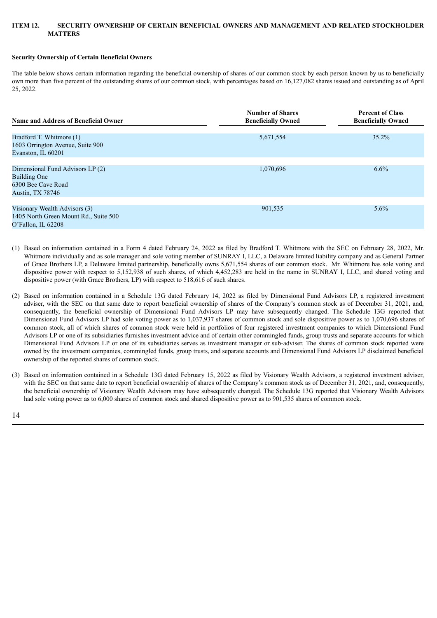### **ITEM 12. SECURITY OWNERSHIP OF CERTAIN BENEFICIAL OWNERS AND MANAGEMENT AND RELATED STOCKHOLDER MATTERS**

#### **Security Ownership of Certain Beneficial Owners**

The table below shows certain information regarding the beneficial ownership of shares of our common stock by each person known by us to beneficially own more than five percent of the outstanding shares of our common stock, with percentages based on 16,127,082 shares issued and outstanding as of April 25, 2022.

| <b>Name and Address of Beneficial Owner</b>                                                              | <b>Number of Shares</b><br><b>Beneficially Owned</b> | <b>Percent of Class</b><br><b>Beneficially Owned</b> |
|----------------------------------------------------------------------------------------------------------|------------------------------------------------------|------------------------------------------------------|
| Bradford T. Whitmore (1)                                                                                 | 5,671,554                                            | $35.2\%$                                             |
| 1603 Orrington Avenue, Suite 900<br>Evanston, IL 60201                                                   |                                                      |                                                      |
| Dimensional Fund Advisors LP (2)<br><b>Building One</b><br>6300 Bee Cave Road<br><b>Austin, TX 78746</b> | 1,070,696                                            | $6.6\%$                                              |
| Visionary Wealth Advisors (3)<br>1405 North Green Mount Rd., Suite 500<br>O'Fallon, IL 62208             | 901,535                                              | 5.6%                                                 |

- (1) Based on information contained in a Form 4 dated February 24, 2022 as filed by Bradford T. Whitmore with the SEC on February 28, 2022, Mr. Whitmore individually and as sole manager and sole voting member of SUNRAY I, LLC, a Delaware limited liability company and as General Partner of Grace Brothers LP, a Delaware limited partnership, beneficially owns 5,671,554 shares of our common stock. Mr. Whitmore has sole voting and dispositive power with respect to 5,152,938 of such shares, of which 4,452,283 are held in the name in SUNRAY I, LLC, and shared voting and dispositive power (with Grace Brothers, LP) with respect to 518,616 of such shares.
- (2) Based on information contained in a Schedule 13G dated February 14, 2022 as filed by Dimensional Fund Advisors LP, a registered investment adviser, with the SEC on that same date to report beneficial ownership of shares of the Company's common stock as of December 31, 2021, and, consequently, the beneficial ownership of Dimensional Fund Advisors LP may have subsequently changed. The Schedule 13G reported that Dimensional Fund Advisors LP had sole voting power as to 1,037,937 shares of common stock and sole dispositive power as to 1,070,696 shares of common stock, all of which shares of common stock were held in portfolios of four registered investment companies to which Dimensional Fund Advisors LP or one of its subsidiaries furnishes investment advice and of certain other commingled funds, group trusts and separate accounts for which Dimensional Fund Advisors LP or one of its subsidiaries serves as investment manager or sub-adviser. The shares of common stock reported were owned by the investment companies, commingled funds, group trusts, and separate accounts and Dimensional Fund Advisors LP disclaimed beneficial ownership of the reported shares of common stock.
- (3) Based on information contained in a Schedule 13G dated February 15, 2022 as filed by Visionary Wealth Advisors, a registered investment adviser, with the SEC on that same date to report beneficial ownership of shares of the Company's common stock as of December 31, 2021, and, consequently, the beneficial ownership of Visionary Wealth Advisors may have subsequently changed. The Schedule 13G reported that Visionary Wealth Advisors had sole voting power as to 6,000 shares of common stock and shared dispositive power as to 901,535 shares of common stock.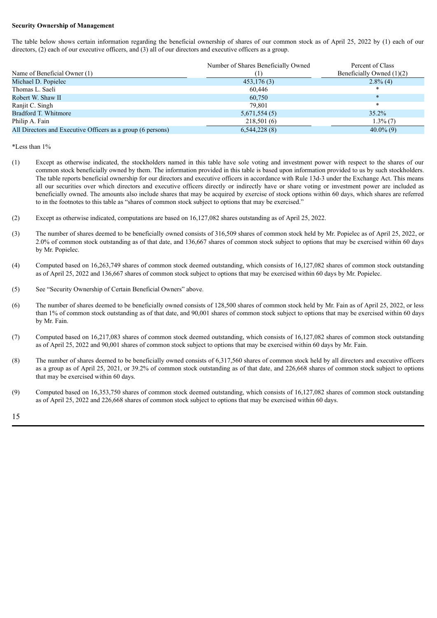### **Security Ownership of Management**

The table below shows certain information regarding the beneficial ownership of shares of our common stock as of April 25, 2022 by (1) each of our directors, (2) each of our executive officers, and (3) all of our directors and executive officers as a group.

| Name of Beneficial Owner (1)                                | Number of Shares Beneficially Owned | Percent of Class<br>Beneficially Owned $(1)(2)$ |
|-------------------------------------------------------------|-------------------------------------|-------------------------------------------------|
| Michael D. Popielec                                         | 453,176(3)                          | $2.8\%$ (4)                                     |
| Thomas L. Saeli                                             | 60.446                              | $\ast$                                          |
| Robert W. Shaw II                                           | 60.750                              | $\ast$                                          |
| Ranjit C. Singh                                             | 79.801                              | $\ast$                                          |
| Bradford T. Whitmore                                        | 5,671,554(5)                        | 35.2%                                           |
| Philip A. Fain                                              | 218,501(6)                          | $1.3\%$ (7)                                     |
| All Directors and Executive Officers as a group (6 persons) | 6,544,228(8)                        | $40.0\%$ (9)                                    |

\*Less than 1%

- (1) Except as otherwise indicated, the stockholders named in this table have sole voting and investment power with respect to the shares of our common stock beneficially owned by them. The information provided in this table is based upon information provided to us by such stockholders. The table reports beneficial ownership for our directors and executive officers in accordance with Rule 13d-3 under the Exchange Act. This means all our securities over which directors and executive officers directly or indirectly have or share voting or investment power are included as beneficially owned. The amounts also include shares that may be acquired by exercise of stock options within 60 days, which shares are referred to in the footnotes to this table as "shares of common stock subject to options that may be exercised."
- (2) Except as otherwise indicated, computations are based on 16,127,082 shares outstanding as of April 25, 2022.
- (3) The number of shares deemed to be beneficially owned consists of 316,509 shares of common stock held by Mr. Popielec as of April 25, 2022, or 2.0% of common stock outstanding as of that date, and 136,667 shares of common stock subject to options that may be exercised within 60 days by Mr. Popielec.
- (4) Computed based on 16,263,749 shares of common stock deemed outstanding, which consists of 16,127,082 shares of common stock outstanding as of April 25, 2022 and 136,667 shares of common stock subject to options that may be exercised within 60 days by Mr. Popielec.
- (5) See "Security Ownership of Certain Beneficial Owners" above.
- (6) The number of shares deemed to be beneficially owned consists of 128,500 shares of common stock held by Mr. Fain as of April 25, 2022, or less than 1% of common stock outstanding as of that date, and 90,001 shares of common stock subject to options that may be exercised within 60 days by Mr. Fain.
- (7) Computed based on 16,217,083 shares of common stock deemed outstanding, which consists of 16,127,082 shares of common stock outstanding as of April 25, 2022 and 90,001 shares of common stock subject to options that may be exercised within 60 days by Mr. Fain.
- (8) The number of shares deemed to be beneficially owned consists of 6,317,560 shares of common stock held by all directors and executive officers as a group as of April 25, 2021, or 39.2% of common stock outstanding as of that date, and 226,668 shares of common stock subject to options that may be exercised within 60 days.
- (9) Computed based on 16,353,750 shares of common stock deemed outstanding, which consists of 16,127,082 shares of common stock outstanding as of April 25, 2022 and 226,668 shares of common stock subject to options that may be exercised within 60 days.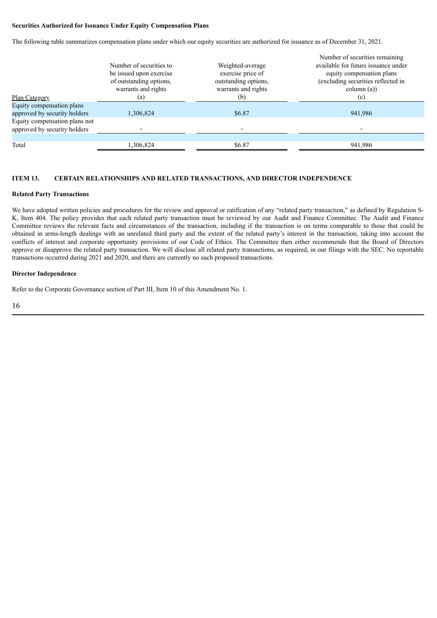## **Securities Authorized for Issuance Under Equity Compensation Plans**

The following table summarizes compensation plans under which our equity securities are authorized for issuance as of December 31, 2021.

|                                                               | Number of securities to<br>be issued upon exercise<br>of outstanding options,<br>warrants and rights | Weighted-average<br>exercise price of<br>outstanding options,<br>warrants and rights | Number of securities remaining<br>available for future issuance under<br>equity compensation plans<br>(excluding securities reflected in<br>$\text{column (a)}$ |
|---------------------------------------------------------------|------------------------------------------------------------------------------------------------------|--------------------------------------------------------------------------------------|-----------------------------------------------------------------------------------------------------------------------------------------------------------------|
| <b>Plan Category</b>                                          | (a)                                                                                                  | (b)                                                                                  | (c)                                                                                                                                                             |
| Equity compensation plans<br>approved by security holders     | 1,306,824                                                                                            | \$6.87                                                                               | 941,986                                                                                                                                                         |
| Equity compensation plans not<br>approved by security holders |                                                                                                      |                                                                                      |                                                                                                                                                                 |
|                                                               |                                                                                                      |                                                                                      |                                                                                                                                                                 |
| Total                                                         | .306,824                                                                                             | \$6.87                                                                               | 941,986                                                                                                                                                         |

## **ITEM 13. CERTAIN RELATIONSHIPS AND RELATED TRANSACTIONS, AND DIRECTOR INDEPENDENCE**

#### **Related Party Transactions**

We have adopted written policies and procedures for the review and approval or ratification of any "related party transaction," as defined by Regulation S-K, Item 404. The policy provides that each related party transaction must be reviewed by our Audit and Finance Committee. The Audit and Finance Committee reviews the relevant facts and circumstances of the transaction, including if the transaction is on terms comparable to those that could be obtained in arms-length dealings with an unrelated third party and the extent of the related party's interest in the transaction, taking into account the conflicts of interest and corporate opportunity provisions of our Code of Ethics. The Committee then either recommends that the Board of Directors approve or disapprove the related party transaction. We will disclose all related party transactions, as required, in our filings with the SEC. No reportable transactions occurred during 2021 and 2020, and there are currently no such proposed transactions.

#### **Director Independence**

Refer to the Corporate Governance section of Part III, Item 10 of this Amendment No. 1.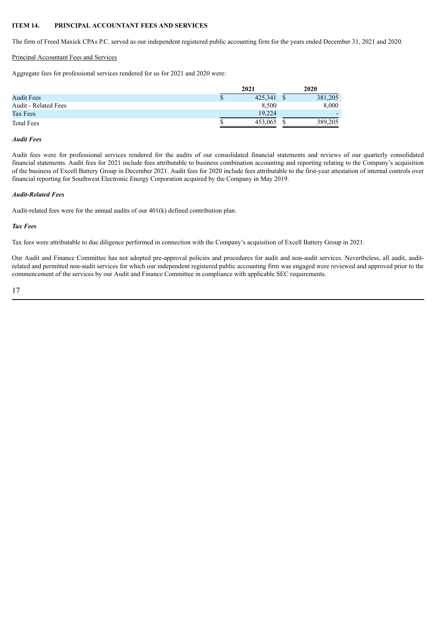## **ITEM 14. PRINCIPAL ACCOUNTANT FEES AND SERVICES**

The firm of Freed Maxick CPAs P.C. served as our independent registered public accounting firm for the years ended December 31, 2021 and 2020.

## Principal Accountant Fees and Services

Aggregate fees for professional services rendered for us for 2021 and 2020 were:

|                             | 2021    | 2020    |
|-----------------------------|---------|---------|
| <b>Audit Fees</b>           | 425.341 | 381,205 |
| <b>Audit - Related Fees</b> | 8.500   | 8,000   |
| Tax Fees                    | 19.224  |         |
| <b>Total Fees</b>           | 453.065 | 389,205 |

#### *Audit Fees*

Audit fees were for professional services rendered for the audits of our consolidated financial statements and reviews of our quarterly consolidated financial statements. Audit fees for 2021 include fees attributable to business combination accounting and reporting relating to the Company's acquisition of the business of Excell Battery Group in December 2021. Audit fees for 2020 include fees attributable to the first-year attestation of internal controls over financial reporting for Southwest Electronic Energy Corporation acquired by the Company in May 2019.

### *Audit-Related Fees*

Audit-related fees were for the annual audits of our 401(k) defined contribution plan.

## *Tax Fees*

Tax fees were attributable to due diligence performed in connection with the Company's acquisition of Excell Battery Group in 2021.

Our Audit and Finance Committee has not adopted pre-approval policies and procedures for audit and non-audit services. Nevertheless, all audit, auditrelated and permitted non-audit services for which our independent registered public accounting firm was engaged were reviewed and approved prior to the commencement of the services by our Audit and Finance Committee in compliance with applicable SEC requirements.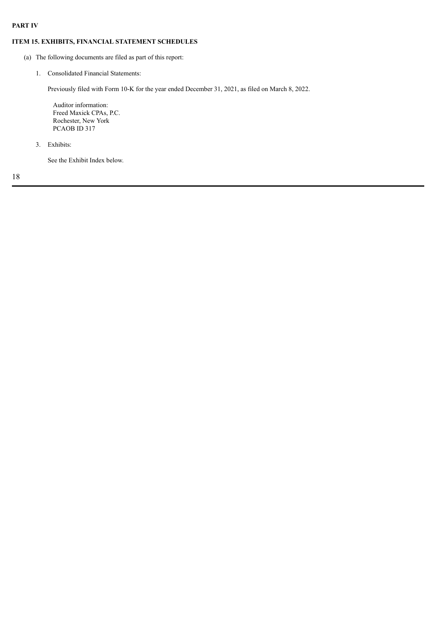## **PART IV**

## **ITEM 15. EXHIBITS, FINANCIAL STATEMENT SCHEDULES**

- (a) The following documents are filed as part of this report:
	- 1. Consolidated Financial Statements:

Previously filed with Form 10-K for the year ended December 31, 2021, as filed on March 8, 2022.

Auditor information: Freed Maxick CPAs, P.C. Rochester, New York PCAOB ID 317

3. Exhibits:

See the Exhibit Index below.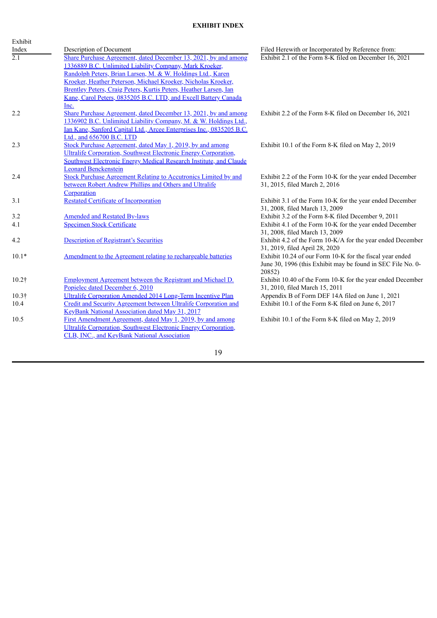## **EXHIBIT INDEX**

| Exhibit          |                                                                           |                                                             |
|------------------|---------------------------------------------------------------------------|-------------------------------------------------------------|
| Index            | Description of Document                                                   | Filed Herewith or Incorporated by Reference from:           |
| $\overline{2.1}$ | Share Purchase Agreement, dated December 13, 2021, by and among           | Exhibit 2.1 of the Form 8-K filed on December 16, 2021      |
|                  | 1336889 B.C. Unlimited Liability Company, Mark Kroeker,                   |                                                             |
|                  | Randolph Peters, Brian Larsen, M. & W. Holdings Ltd., Karen               |                                                             |
|                  | Kroeker, Heather Peterson, Michael Kroeker, Nicholas Kroeker,             |                                                             |
|                  | Brentley Peters, Craig Peters, Kurtis Peters, Heather Larsen, Ian         |                                                             |
|                  | Kane, Carol Peters, 0835205 B.C. LTD, and Excell Battery Canada           |                                                             |
|                  | Inc.                                                                      |                                                             |
| 2.2              | Share Purchase Agreement, dated December 13, 2021, by and among           | Exhibit 2.2 of the Form 8-K filed on December 16, 2021      |
|                  | 1336902 B.C. Unlimited Liability Company, M. & W. Holdings Ltd.,          |                                                             |
|                  | Ian Kane, Sanford Capital Ltd., Arcee Enterprises Inc., 0835205 B.C.      |                                                             |
|                  | Ltd., and 656700 B.C. LTD                                                 |                                                             |
| 2.3              | Stock Purchase Agreement, dated May 1, 2019, by and among                 | Exhibit 10.1 of the Form 8-K filed on May 2, 2019           |
|                  | Ultralife Corporation, Southwest Electronic Energy Corporation,           |                                                             |
|                  | <b>Southwest Electronic Energy Medical Research Institute, and Claude</b> |                                                             |
|                  | <b>Leonard Benckenstein</b>                                               |                                                             |
| 2.4              | Stock Purchase Agreement Relating to Accutronics Limited by and           | Exhibit 2.2 of the Form 10-K for the year ended December    |
|                  | between Robert Andrew Phillips and Others and Ultralife                   | 31, 2015, filed March 2, 2016                               |
|                  | Corporation                                                               |                                                             |
| 3.1              | <b>Restated Certificate of Incorporation</b>                              | Exhibit 3.1 of the Form 10-K for the year ended December    |
|                  |                                                                           | 31, 2008, filed March 13, 2009                              |
| 3.2              | <b>Amended and Restated By-laws</b>                                       | Exhibit 3.2 of the Form 8-K filed December 9, 2011          |
| 4.1              | <b>Specimen Stock Certificate</b>                                         | Exhibit 4.1 of the Form 10-K for the year ended December    |
|                  |                                                                           | 31, 2008, filed March 13, 2009                              |
| 4.2              | <b>Description of Registrant's Securities</b>                             | Exhibit 4.2 of the Form 10-K/A for the year ended December  |
|                  |                                                                           | 31, 2019, filed April 28, 2020                              |
| $10.1*$          | Amendment to the Agreement relating to rechargeable batteries             | Exhibit 10.24 of our Form 10-K for the fiscal year ended    |
|                  |                                                                           | June 30, 1996 (this Exhibit may be found in SEC File No. 0- |
|                  |                                                                           | 20852)                                                      |
| $10.2\dagger$    | <b>Employment Agreement between the Registrant and Michael D.</b>         | Exhibit 10.40 of the Form 10-K for the year ended December  |
|                  | Popielec dated December 6, 2010                                           | 31, 2010, filed March 15, 2011                              |
| $10.3\dagger$    | Ultralife Corporation Amended 2014 Long-Term Incentive Plan               | Appendix B of Form DEF 14A filed on June 1, 2021            |
| 10.4             | Credit and Security Agreement between Ultralife Corporation and           | Exhibit 10.1 of the Form 8-K filed on June 6, 2017          |
|                  | <b>KeyBank National Association dated May 31, 2017</b>                    |                                                             |
| 10.5             | First Amendment Agreement, dated May 1, 2019, by and among                | Exhibit 10.1 of the Form 8-K filed on May 2, 2019           |
|                  | Ultralife Corporation, Southwest Electronic Energy Corporation,           |                                                             |

19

CLB, INC., and KeyBank National Association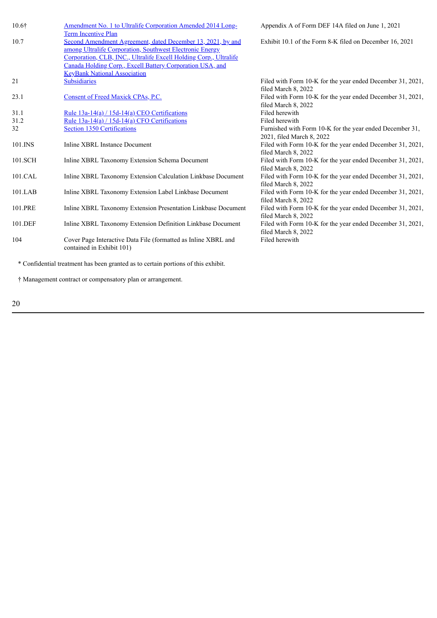| 10.6†   | Amendment No. 1 to Ultralife Corporation Amended 2014 Long-<br><b>Term Incentive Plan</b>                                                                                                                                                                 | Appendix A of Form DEF 14A filed on June 1, 2021                                  |
|---------|-----------------------------------------------------------------------------------------------------------------------------------------------------------------------------------------------------------------------------------------------------------|-----------------------------------------------------------------------------------|
| 10.7    | Second Amendment Agreement, dated December 13, 2021, by and<br>among Ultralife Corporation, Southwest Electronic Energy<br>Corporation, CLB, INC., Ultralife Excell Holding Corp., Ultralife<br>Canada Holding Corp., Excell Battery Corporation USA, and | Exhibit 10.1 of the Form 8-K filed on December 16, 2021                           |
| 21      | <b>KeyBank National Association</b><br><b>Subsidiaries</b>                                                                                                                                                                                                | Filed with Form 10-K for the year ended December 31, 2021,                        |
|         |                                                                                                                                                                                                                                                           | filed March 8, 2022                                                               |
| 23.1    | Consent of Freed Maxick CPAs, P.C.                                                                                                                                                                                                                        | Filed with Form 10-K for the year ended December 31, 2021,                        |
|         |                                                                                                                                                                                                                                                           | filed March 8, 2022                                                               |
| 31.1    | Rule $13a-14(a)/15d-14(a)$ CEO Certifications                                                                                                                                                                                                             | Filed herewith                                                                    |
| 31.2    | Rule $13a-14(a)$ / $15d-14(a)$ CFO Certifications                                                                                                                                                                                                         | Filed herewith                                                                    |
| 32      | Section 1350 Certifications                                                                                                                                                                                                                               | Furnished with Form 10-K for the year ended December 31,                          |
|         |                                                                                                                                                                                                                                                           | 2021, filed March 8, 2022                                                         |
| 101.INS | Inline XBRL Instance Document                                                                                                                                                                                                                             | Filed with Form 10-K for the year ended December 31, 2021,<br>filed March 8, 2022 |
| 101.SCH | Inline XBRL Taxonomy Extension Schema Document                                                                                                                                                                                                            | Filed with Form 10-K for the year ended December 31, 2021,<br>filed March 8, 2022 |
| 101.CAL | Inline XBRL Taxonomy Extension Calculation Linkbase Document                                                                                                                                                                                              | Filed with Form 10-K for the year ended December 31, 2021,<br>filed March 8, 2022 |
| 101.LAB | Inline XBRL Taxonomy Extension Label Linkbase Document                                                                                                                                                                                                    | Filed with Form 10-K for the year ended December 31, 2021,<br>filed March 8, 2022 |
| 101.PRE | Inline XBRL Taxonomy Extension Presentation Linkbase Document                                                                                                                                                                                             | Filed with Form 10-K for the year ended December 31, 2021,<br>filed March 8, 2022 |
| 101.DEF | Inline XBRL Taxonomy Extension Definition Linkbase Document                                                                                                                                                                                               | Filed with Form 10-K for the year ended December 31, 2021,<br>filed March 8, 2022 |
| 104     | Cover Page Interactive Data File (formatted as Inline XBRL and<br>contained in Exhibit 101)                                                                                                                                                               | Filed herewith                                                                    |
|         | * Confidential treatment has been granted as to certain portions of this exhibit.                                                                                                                                                                         |                                                                                   |

† Management contract or compensatory plan or arrangement.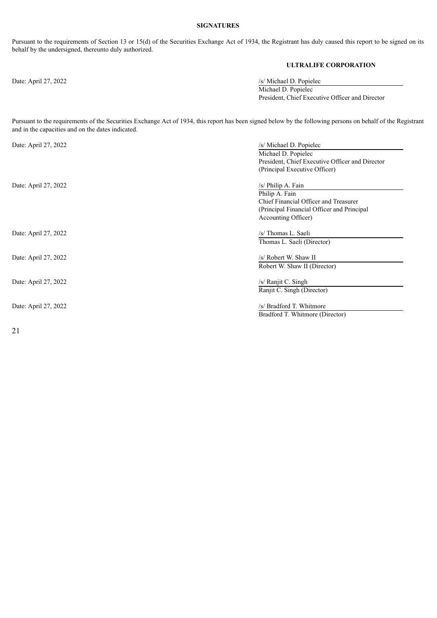### **SIGNATURES**

Pursuant to the requirements of Section 13 or 15(d) of the Securities Exchange Act of 1934, the Registrant has duly caused this report to be signed on its behalf by the undersigned, thereunto duly authorized.

## **ULTRALIFE CORPORATION**

Date: April 27, 2022 /s/ Michael D. Popielec Michael D. Popielec President, Chief Executive Officer and Director

Pursuant to the requirements of the Securities Exchange Act of 1934, this report has been signed below by the following persons on behalf of the Registrant and in the capacities and on the dates indicated.

| Date: April 27, 2022 | /s/ Michael D. Popielec                         |
|----------------------|-------------------------------------------------|
|                      | Michael D. Popielec                             |
|                      | President, Chief Executive Officer and Director |
|                      | (Principal Executive Officer)                   |
| Date: April 27, 2022 | /s/ Philip A. Fain                              |
|                      | Philip A. Fain                                  |
|                      | Chief Financial Officer and Treasurer           |
|                      | (Principal Financial Officer and Principal      |
|                      | Accounting Officer)                             |
| Date: April 27, 2022 | /s/ Thomas L. Saeli                             |
|                      | Thomas L. Saeli (Director)                      |
| Date: April 27, 2022 | /s/ Robert W. Shaw II                           |
|                      | Robert W. Shaw II (Director)                    |
| Date: April 27, 2022 | $/s/$ Ranjit C. Singh                           |
|                      | Ranjit C. Singh (Director)                      |
| Date: April 27, 2022 | /s/ Bradford T. Whitmore                        |
|                      | Bradford T. Whitmore (Director)                 |
|                      |                                                 |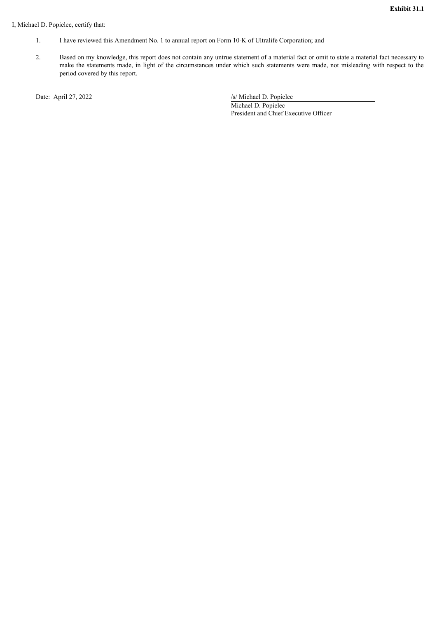## <span id="page-24-0"></span>I, Michael D. Popielec, certify that:

- 1. I have reviewed this Amendment No. 1 to annual report on Form 10-K of Ultralife Corporation; and
- 2. Based on my knowledge, this report does not contain any untrue statement of a material fact or omit to state a material fact necessary to make the statements made, in light of the circumstances under which such statements were made, not misleading with respect to the period covered by this report.

Date: April 27, 2022 /s/ Michael D. Popielec Michael D. Popielec President and Chief Executive Officer